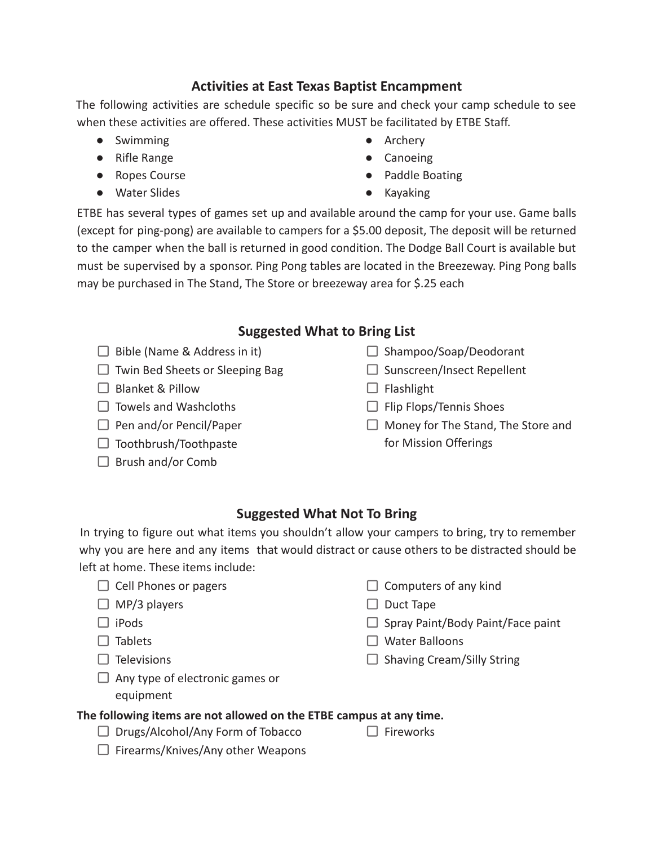# **Activities at East Texas Baptist Encampment**

The following activities are schedule specific so be sure and check your camp schedule to see when these activities are offered. These activities MUST be facilitated by ETBE Staff.

- Swimming
- Rifle Range
- Ropes Course
- Water Slides
- Archery
- Canoeing
- Paddle Boating
- Kayaking

ETBE has several types of games set up and available around the camp for your use. Game balls (except for ping-pong) are available to campers for a \$5.00 deposit, The deposit will be returned to the camper when the ball is returned in good condition. The Dodge Ball Court is available but must be supervised by a sponsor. Ping Pong tables are located in the Breezeway. Ping Pong balls may be purchased in The Stand, The Store or breezeway area for \$.25 each

# **Suggested What to Bring List**

- $\Box$  Bible (Name & Address in it)
- $\Box$  Twin Bed Sheets or Sleeping Bag
- $\Box$  Blanket & Pillow
- $\Box$  Towels and Washcloths
- $\Box$  Pen and/or Pencil/Paper
- $\Box$  Toothbrush/Toothpaste
- $\Box$  Brush and/or Comb
- $\Box$  Shampoo/Soap/Deodorant
- $\square$  Sunscreen/Insect Repellent
- $\Box$  Flashlight
- $\Box$  Flip Flops/Tennis Shoes

 $\Box$  Computers of any kind

 $\Box$  Shaving Cream/Silly String

 $\Box$  Spray Paint/Body Paint/Face paint

 $\Box$  Money for The Stand, The Store and for Mission Offerings

# **Suggested What Not To Bring**

In trying to figure out what items you shouldn't allow your campers to bring, try to remember why you are here and any items that would distract or cause others to be distracted should be left at home. These items include:

- $\Box$  Cell Phones or pagers
- $\Box$  MP/3 players
- $\Box$  iPods
- $\Box$  Tablets
- $\Box$  Televisions
- 
- $\Box$  Any type of electronic games or
	- equipment

### **The following items are not allowed on the ETBE campus at any time.**

- $\Box$  Drugs/Alcohol/Any Form of Tobacco
- $\Box$  Fireworks

 $\Box$  Duct Tape

 $\Box$  Water Balloons

 $\Box$  Firearms/Knives/Any other Weapons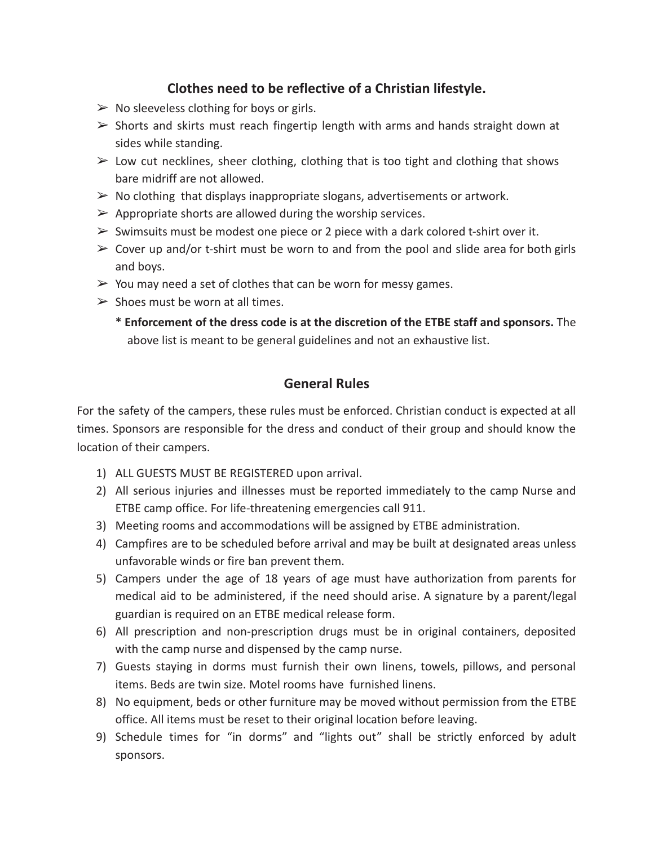# **Clothes need to be reflective of a Christian lifestyle.**

- $\triangleright$  No sleeveless clothing for boys or girls.
- $\triangleright$  Shorts and skirts must reach fingertip length with arms and hands straight down at sides while standing.
- $\triangleright$  Low cut necklines, sheer clothing, clothing that is too tight and clothing that shows bare midriff are not allowed.
- $\triangleright$  No clothing that displays inappropriate slogans, advertisements or artwork.
- $\triangleright$  Appropriate shorts are allowed during the worship services.
- $\triangleright$  Swimsuits must be modest one piece or 2 piece with a dark colored t-shirt over it.
- $\geq$  Cover up and/or t-shirt must be worn to and from the pool and slide area for both girls and boys.
- $\triangleright$  You may need a set of clothes that can be worn for messy games.
- $\triangleright$  Shoes must be worn at all times.
	- **\* Enforcement of the dress code is at the discretion of the ETBE staff and sponsors.** The above list is meant to be general guidelines and not an exhaustive list.

# **General Rules**

For the safety of the campers, these rules must be enforced. Christian conduct is expected at all times. Sponsors are responsible for the dress and conduct of their group and should know the location of their campers.

- 1) ALL GUESTS MUST BE REGISTERED upon arrival.
- 2) All serious injuries and illnesses must be reported immediately to the camp Nurse and ETBE camp office. For life-threatening emergencies call 911.
- 3) Meeting rooms and accommodations will be assigned by ETBE administration.
- 4) Campfires are to be scheduled before arrival and may be built at designated areas unless unfavorable winds or fire ban prevent them.
- 5) Campers under the age of 18 years of age must have authorization from parents for medical aid to be administered, if the need should arise. A signature by a parent/legal guardian is required on an ETBE medical release form.
- 6) All prescription and non-prescription drugs must be in original containers, deposited with the camp nurse and dispensed by the camp nurse.
- 7) Guests staying in dorms must furnish their own linens, towels, pillows, and personal items. Beds are twin size. Motel rooms have furnished linens.
- 8) No equipment, beds or other furniture may be moved without permission from the ETBE office. All items must be reset to their original location before leaving.
- 9) Schedule times for "in dorms" and "lights out" shall be strictly enforced by adult sponsors.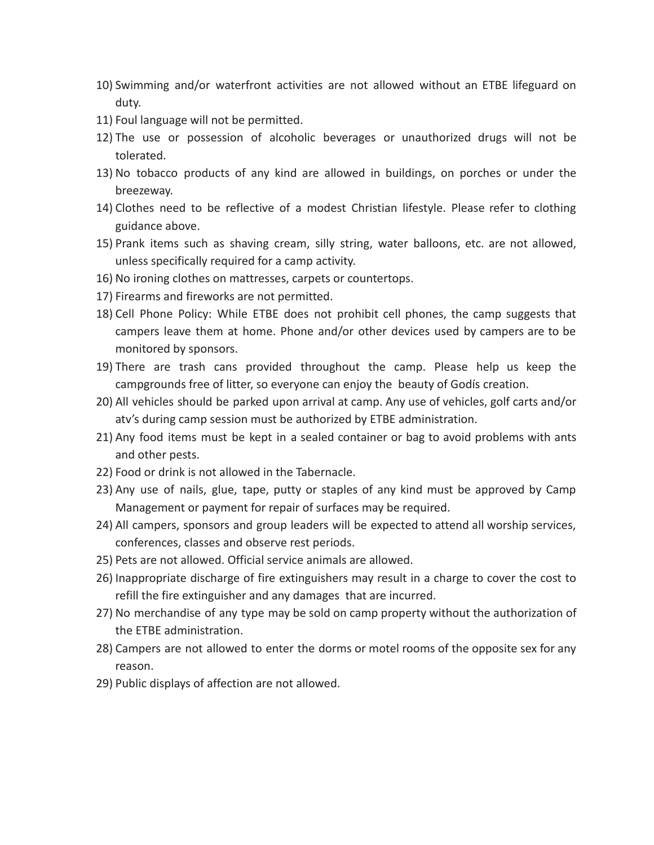- 10) Swimming and/or waterfront activities are not allowed without an ETBE lifeguard on duty.
- 11) Foul language will not be permitted.
- 12) The use or possession of alcoholic beverages or unauthorized drugs will not be tolerated.
- 13) No tobacco products of any kind are allowed in buildings, on porches or under the breezeway.
- 14) Clothes need to be reflective of a modest Christian lifestyle. Please refer to clothing guidance above.
- 15) Prank items such as shaving cream, silly string, water balloons, etc. are not allowed, unless specifically required for a camp activity.
- 16) No ironing clothes on mattresses, carpets or countertops.
- 17) Firearms and fireworks are not permitted.
- 18) Cell Phone Policy: While ETBE does not prohibit cell phones, the camp suggests that campers leave them at home. Phone and/or other devices used by campers are to be monitored by sponsors.
- 19) There are trash cans provided throughout the camp. Please help us keep the campgrounds free of litter, so everyone can enjoy the beauty of Godís creation.
- 20) All vehicles should be parked upon arrival at camp. Any use of vehicles, golf carts and/or atv's during camp session must be authorized by ETBE administration.
- 21) Any food items must be kept in a sealed container or bag to avoid problems with ants and other pests.
- 22) Food or drink is not allowed in the Tabernacle.
- 23) Any use of nails, glue, tape, putty or staples of any kind must be approved by Camp Management or payment for repair of surfaces may be required.
- 24) All campers, sponsors and group leaders will be expected to attend all worship services, conferences, classes and observe rest periods.
- 25) Pets are not allowed. Official service animals are allowed.
- 26) Inappropriate discharge of fire extinguishers may result in a charge to cover the cost to refill the fire extinguisher and any damages that are incurred.
- 27) No merchandise of any type may be sold on camp property without the authorization of the ETBE administration.
- 28) Campers are not allowed to enter the dorms or motel rooms of the opposite sex for any reason.
- 29) Public displays of affection are not allowed.